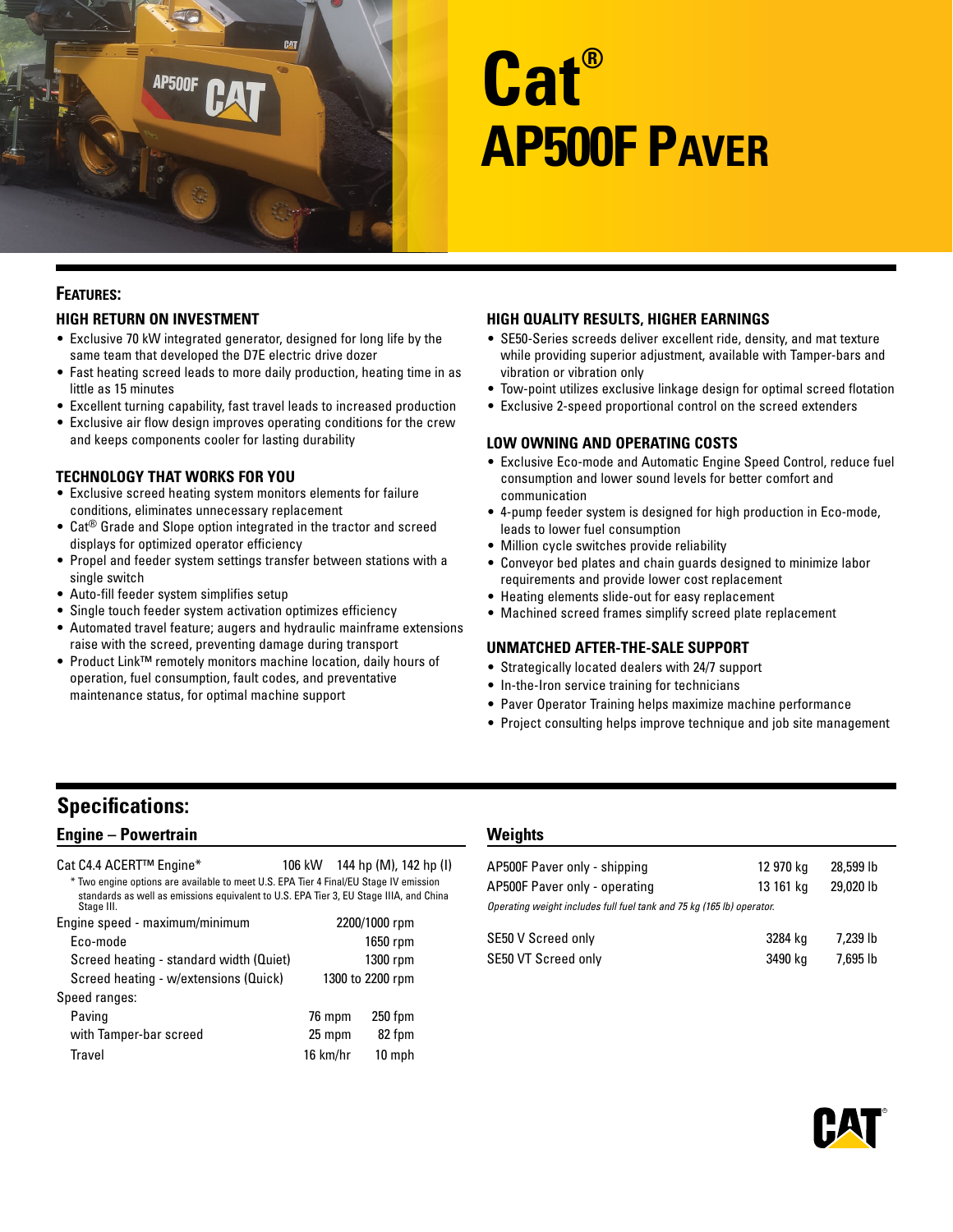

# **Cat® AP500F Paver**

# **Features:**

## **High Return on Investment**

- Exclusive 70 kW integrated generator, designed for long life by the same team that developed the D7E electric drive dozer
- Fast heating screed leads to more daily production, heating time in as little as 15 minutes
- Excellent turning capability, fast travel leads to increased production
- Exclusive air flow design improves operating conditions for the crew and keeps components cooler for lasting durability

#### **Technology That Works for You**

- Exclusive screed heating system monitors elements for failure conditions, eliminates unnecessary replacement
- Cat® Grade and Slope option integrated in the tractor and screed displays for optimized operator efficiency
- Propel and feeder system settings transfer between stations with a single switch
- Auto-fill feeder system simplifies setup
- Single touch feeder system activation optimizes efficiency
- Automated travel feature; augers and hydraulic mainframe extensions raise with the screed, preventing damage during transport
- Product Link™ remotely monitors machine location, daily hours of operation, fuel consumption, fault codes, and preventative maintenance status, for optimal machine support

#### **High Quality Results, Higher Earnings**

- SE50-Series screeds deliver excellent ride, density, and mat texture while providing superior adjustment, available with Tamper-bars and vibration or vibration only
- Tow-point utilizes exclusive linkage design for optimal screed flotation
- Exclusive 2-speed proportional control on the screed extenders

#### **Low Owning and Operating Costs**

- Exclusive Eco-mode and Automatic Engine Speed Control, reduce fuel consumption and lower sound levels for better comfort and communication
- 4-pump feeder system is designed for high production in Eco-mode, leads to lower fuel consumption
- Million cycle switches provide reliability
- Conveyor bed plates and chain guards designed to minimize labor requirements and provide lower cost replacement
- Heating elements slide-out for easy replacement
- Machined screed frames simplify screed plate replacement

#### **Unmatched After-the-Sale Support**

- Strategically located dealers with 24/7 support
- In-the-Iron service training for technicians
- Paver Operator Training helps maximize machine performance
- Project consulting helps improve technique and job site management

# **Specifications:**

## **Engine – Powertrain**

| Cat C4.4 ACERT™ Engine*                                                                              |  | 106 kW 144 hp (M), 142 hp (I) |  |
|------------------------------------------------------------------------------------------------------|--|-------------------------------|--|
| * Two engine options are available to meet U.S. EPA Tier 4 Final/EU Stage IV emission                |  |                               |  |
| standards as well as emissions equivalent to U.S. EPA Tier 3, EU Stage IIIA, and China<br>Stage III. |  |                               |  |
| Engine speed - maximum/minimum                                                                       |  | 2200/1000 rpm                 |  |
| Eco-mode                                                                                             |  | 1650 rpm                      |  |
|                                                                                                      |  | $\sim$                        |  |

| Screed heating - standard width (Quiet) |                  | 1300 rpm |
|-----------------------------------------|------------------|----------|
| Screed heating - w/extensions (Quick)   | 1300 to 2200 rpm |          |
| Speed ranges:                           |                  |          |
| Paving                                  | 76 mpm           | 250 fpm  |
| with Tamper-bar screed                  | 25 mpm           | 82 fpm   |
| Travel                                  | 16 km/hr         | 10 mph   |

#### **Weights**

| AP500F Paver only - shipping                                          | 12 970 kg | 28,599 lb |
|-----------------------------------------------------------------------|-----------|-----------|
| AP500F Paver only - operating                                         | 13 161 kg | 29,020 lb |
| Operating weight includes full fuel tank and 75 kg (165 lb) operator. |           |           |
| SE50 V Screed only                                                    | 3284 kg   | 7.239 lb  |
| SE50 VT Screed only                                                   | 3490 kg   | 7,695 lb  |